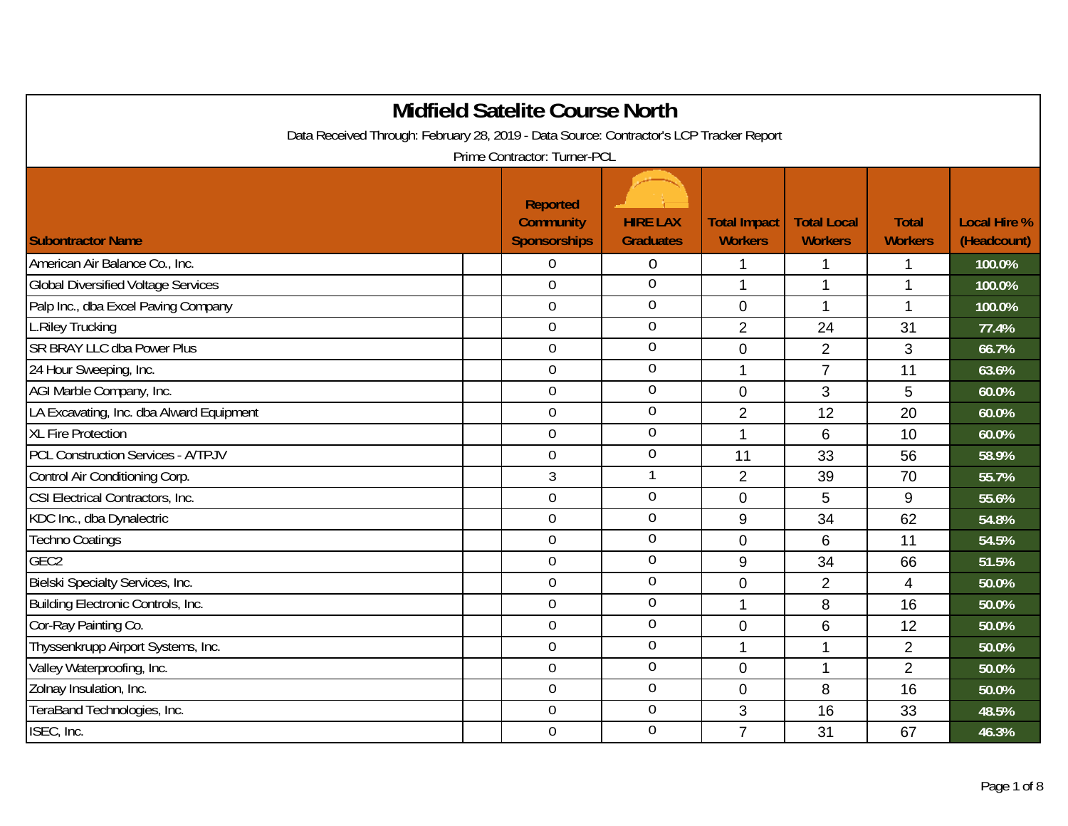| <b>Midfield Satelite Course North</b>                                                   |                                                            |                                     |                                       |                                      |                                |                                    |  |  |  |
|-----------------------------------------------------------------------------------------|------------------------------------------------------------|-------------------------------------|---------------------------------------|--------------------------------------|--------------------------------|------------------------------------|--|--|--|
| Data Received Through: February 28, 2019 - Data Source: Contractor's LCP Tracker Report |                                                            |                                     |                                       |                                      |                                |                                    |  |  |  |
|                                                                                         | Prime Contractor: Turner-PCL                               |                                     |                                       |                                      |                                |                                    |  |  |  |
| <b>Subontractor Name</b>                                                                | <b>Reported</b><br><b>Community</b><br><b>Sponsorships</b> | <b>HIRE LAX</b><br><b>Graduates</b> | <b>Total Impact</b><br><b>Workers</b> | <b>Total Local</b><br><b>Workers</b> | <b>Total</b><br><b>Workers</b> | <b>Local Hire %</b><br>(Headcount) |  |  |  |
| American Air Balance Co., Inc.                                                          | $\overline{0}$                                             | $\boldsymbol{0}$                    | 1                                     | 1                                    | 1                              | 100.0%                             |  |  |  |
| <b>Global Diversified Voltage Services</b>                                              | $\overline{0}$                                             | $\overline{0}$                      | 1                                     | 1                                    | 1                              | 100.0%                             |  |  |  |
| Palp Inc., dba Excel Paving Company                                                     | $\overline{0}$                                             | $\overline{0}$                      | $\mathbf 0$                           | $\overline{1}$                       | 1                              | 100.0%                             |  |  |  |
| L.Riley Trucking                                                                        | $\overline{0}$                                             | $\overline{0}$                      | $\overline{2}$                        | 24                                   | 31                             | 77.4%                              |  |  |  |
| <b>SR BRAY LLC dba Power Plus</b>                                                       | $\overline{0}$                                             | $\overline{0}$                      | $\overline{0}$                        | $\overline{2}$                       | 3                              | 66.7%                              |  |  |  |
| 24 Hour Sweeping, Inc.                                                                  | $\mathbf 0$                                                | $\overline{0}$                      | 1                                     | $\overline{7}$                       | 11                             | 63.6%                              |  |  |  |
| AGI Marble Company, Inc.                                                                | $\mathbf 0$                                                | $\boldsymbol{0}$                    | $\mathbf 0$                           | 3                                    | 5                              | 60.0%                              |  |  |  |
| LA Excavating, Inc. dba Alward Equipment                                                | $\mathbf 0$                                                | $\boldsymbol{0}$                    | $\overline{2}$                        | 12                                   | 20                             | 60.0%                              |  |  |  |
| <b>XL Fire Protection</b>                                                               | $\mathbf 0$                                                | $\boldsymbol{0}$                    | 1                                     | 6                                    | 10                             | 60.0%                              |  |  |  |
| <b>PCL Construction Services - A/TPJV</b>                                               | $\overline{0}$                                             | $\boldsymbol{0}$                    | 11                                    | 33                                   | 56                             | 58.9%                              |  |  |  |
| Control Air Conditioning Corp.                                                          | $\mathfrak{Z}$                                             | $\mathbf{1}$                        | $\overline{2}$                        | 39                                   | 70                             | 55.7%                              |  |  |  |
| CSI Electrical Contractors, Inc.                                                        | $\mathbf 0$                                                | $\boldsymbol{0}$                    | $\overline{0}$                        | 5                                    | 9                              | 55.6%                              |  |  |  |
| KDC Inc., dba Dynalectric                                                               | $\overline{0}$                                             | 0                                   | 9                                     | 34                                   | 62                             | 54.8%                              |  |  |  |
| <b>Techno Coatings</b>                                                                  | $\overline{0}$                                             | $\overline{0}$                      | 0                                     | 6                                    | 11                             | 54.5%                              |  |  |  |
| GEC <sub>2</sub>                                                                        | $\overline{0}$                                             | 0                                   | 9                                     | 34                                   | 66                             | 51.5%                              |  |  |  |
| Bielski Specialty Services, Inc.                                                        | $\mathbf 0$                                                | $\boldsymbol{0}$                    | 0                                     | $\overline{2}$                       | 4                              | 50.0%                              |  |  |  |
| Building Electronic Controls, Inc.                                                      | $\boldsymbol{0}$                                           | $\boldsymbol{0}$                    | 1                                     | 8                                    | 16                             | 50.0%                              |  |  |  |
| Cor-Ray Painting Co.                                                                    | $\mathbf 0$                                                | 0                                   | $\overline{0}$                        | 6                                    | 12                             | 50.0%                              |  |  |  |
| Thyssenkrupp Airport Systems, Inc.                                                      | $\mathbf 0$                                                | $\overline{0}$                      | 1                                     | 1                                    | $\overline{2}$                 | 50.0%                              |  |  |  |
| Valley Waterproofing, Inc.                                                              | $\mathbf 0$                                                | 0                                   | $\overline{0}$                        | $\mathbf{1}$                         | $\overline{2}$                 | 50.0%                              |  |  |  |
| Zolnay Insulation, Inc.                                                                 | $\mathbf 0$                                                | $\boldsymbol{0}$                    | $\overline{0}$                        | 8                                    | 16                             | 50.0%                              |  |  |  |
| TeraBand Technologies, Inc.                                                             | $\overline{0}$                                             | $\overline{0}$                      | 3                                     | 16                                   | 33                             | 48.5%                              |  |  |  |
| ISEC, Inc.                                                                              | $\overline{0}$                                             | 0                                   | $\overline{7}$                        | 31                                   | 67                             | 46.3%                              |  |  |  |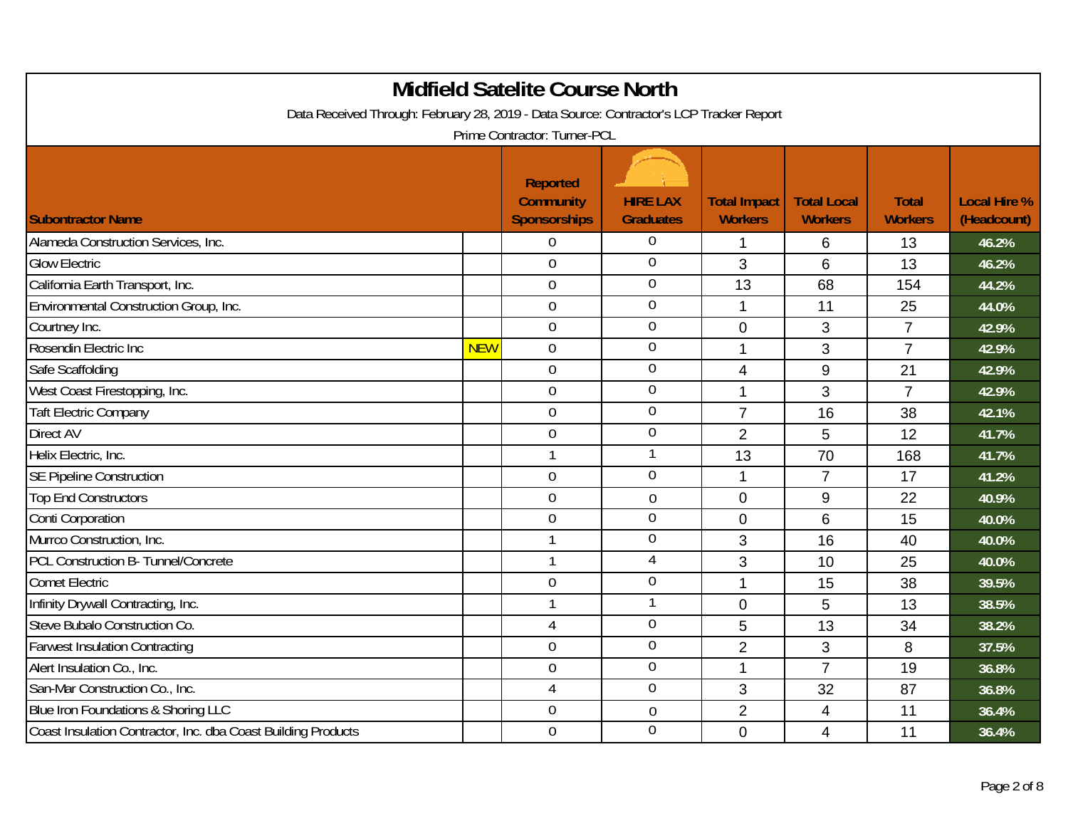| <b>Midfield Satelite Course North</b><br>Data Received Through: February 28, 2019 - Data Source: Contractor's LCP Tracker Report<br>Prime Contractor: Turner-PCL |            |                                                            |                                     |                                       |                                      |                                |                                    |  |
|------------------------------------------------------------------------------------------------------------------------------------------------------------------|------------|------------------------------------------------------------|-------------------------------------|---------------------------------------|--------------------------------------|--------------------------------|------------------------------------|--|
| <b>Subontractor Name</b>                                                                                                                                         |            | <b>Reported</b><br><b>Community</b><br><b>Sponsorships</b> | <b>HIRE LAX</b><br><b>Graduates</b> | <b>Total Impact</b><br><b>Workers</b> | <b>Total Local</b><br><b>Workers</b> | <b>Total</b><br><b>Workers</b> | <b>Local Hire %</b><br>(Headcount) |  |
| Alameda Construction Services, Inc.                                                                                                                              |            | $\theta$                                                   | 0                                   | 1                                     | 6                                    | 13                             | 46.2%                              |  |
| <b>Glow Electric</b>                                                                                                                                             |            | $\mathbf 0$                                                | 0                                   | 3                                     | 6                                    | 13                             | 46.2%                              |  |
| California Earth Transport, Inc.                                                                                                                                 |            | $\mathbf 0$                                                | $\overline{0}$                      | 13                                    | 68                                   | 154                            | 44.2%                              |  |
| Environmental Construction Group, Inc.                                                                                                                           |            | $\boldsymbol{0}$                                           | 0                                   | $\mathbf 1$                           | 11                                   | 25                             | 44.0%                              |  |
| Courtney Inc.                                                                                                                                                    |            | $\overline{0}$                                             | $\overline{0}$                      | $\overline{0}$                        | 3                                    | $\overline{7}$                 | 42.9%                              |  |
| Rosendin Electric Inc                                                                                                                                            | <b>NEW</b> | $\mathbf 0$                                                | $\mathbf 0$                         | 1                                     | 3                                    | $\overline{7}$                 | 42.9%                              |  |
| Safe Scaffolding                                                                                                                                                 |            | $\mathbf 0$                                                | 0                                   | $\overline{4}$                        | 9                                    | 21                             | 42.9%                              |  |
| West Coast Firestopping, Inc.                                                                                                                                    |            | $\overline{0}$                                             | $\overline{0}$                      | 1                                     | 3                                    | $\overline{7}$                 | 42.9%                              |  |
| <b>Taft Electric Company</b>                                                                                                                                     |            | $\boldsymbol{0}$                                           | $\boldsymbol{0}$                    | $\overline{7}$                        | 16                                   | 38                             | 42.1%                              |  |
| Direct AV                                                                                                                                                        |            | $\boldsymbol{0}$                                           | 0                                   | $\overline{2}$                        | 5                                    | 12                             | 41.7%                              |  |
| Helix Electric, Inc.                                                                                                                                             |            | $\mathbf{1}$                                               | 1                                   | 13                                    | 70                                   | 168                            | 41.7%                              |  |
| <b>SE Pipeline Construction</b>                                                                                                                                  |            | $\mathbf 0$                                                | $\mathbf 0$                         | $\mathbf 1$                           | $\overline{7}$                       | 17                             | 41.2%                              |  |
| <b>Top End Constructors</b>                                                                                                                                      |            | $\overline{0}$                                             | $\overline{0}$                      | $\overline{0}$                        | 9                                    | 22                             | 40.9%                              |  |
| Conti Corporation                                                                                                                                                |            | $\overline{0}$                                             | 0                                   | $\Omega$                              | 6                                    | 15                             | 40.0%                              |  |
| Murrco Construction, Inc.                                                                                                                                        |            | $\mathbf{1}$                                               | $\mathbf 0$                         | 3                                     | 16                                   | 40                             | 40.0%                              |  |
| PCL Construction B- Tunnel/Concrete                                                                                                                              |            | $\mathbf{1}$                                               | 4                                   | 3                                     | 10                                   | 25                             | 40.0%                              |  |
| <b>Comet Electric</b>                                                                                                                                            |            | $\overline{0}$                                             | $\overline{0}$                      | 1                                     | 15                                   | 38                             | 39.5%                              |  |
| Infinity Drywall Contracting, Inc.                                                                                                                               |            | $\mathbf{1}$                                               | 1                                   | $\mathbf{0}$                          | 5                                    | 13                             | 38.5%                              |  |
| Steve Bubalo Construction Co.                                                                                                                                    |            | 4                                                          | 0                                   | 5                                     | 13                                   | 34                             | 38.2%                              |  |
| <b>Farwest Insulation Contracting</b>                                                                                                                            |            | $\mathbf 0$                                                | 0                                   | $\overline{2}$                        | 3                                    | 8                              | 37.5%                              |  |
| Alert Insulation Co., Inc.                                                                                                                                       |            | $\mathbf 0$                                                | 0                                   | $\overline{1}$                        | $\overline{7}$                       | 19                             | 36.8%                              |  |
| San-Mar Construction Co., Inc.                                                                                                                                   |            | $\overline{4}$                                             | 0                                   | 3                                     | 32                                   | 87                             | 36.8%                              |  |
| Blue Iron Foundations & Shoring LLC                                                                                                                              |            | $\overline{0}$                                             | $\boldsymbol{0}$                    | $\overline{2}$                        | 4                                    | 11                             | 36.4%                              |  |
| Coast Insulation Contractor, Inc. dba Coast Building Products                                                                                                    |            | $\mathbf 0$                                                | 0                                   | $\Omega$                              | 4                                    | 11                             | 36.4%                              |  |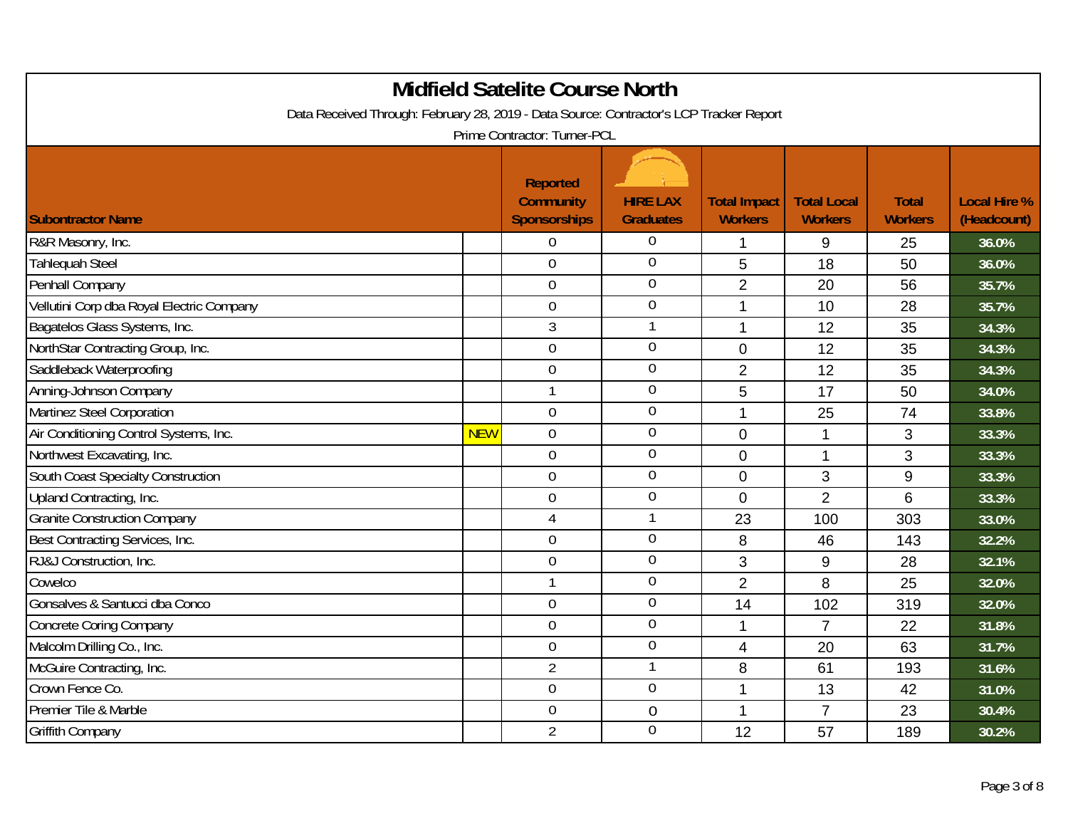| <b>Midfield Satelite Course North</b><br>Data Received Through: February 28, 2019 - Data Source: Contractor's LCP Tracker Report<br>Prime Contractor: Turner-PCL |            |                                                            |                                     |                                       |                                      |                                |                                    |  |
|------------------------------------------------------------------------------------------------------------------------------------------------------------------|------------|------------------------------------------------------------|-------------------------------------|---------------------------------------|--------------------------------------|--------------------------------|------------------------------------|--|
| <b>Subontractor Name</b>                                                                                                                                         |            | <b>Reported</b><br><b>Community</b><br><b>Sponsorships</b> | <b>HIRE LAX</b><br><b>Graduates</b> | <b>Total Impact</b><br><b>Workers</b> | <b>Total Local</b><br><b>Workers</b> | <b>Total</b><br><b>Workers</b> | <b>Local Hire %</b><br>(Headcount) |  |
| R&R Masonry, Inc.                                                                                                                                                |            | $\theta$                                                   | 0                                   | 1                                     | 9                                    | 25                             | 36.0%                              |  |
| <b>Tahlequah Steel</b>                                                                                                                                           |            | $\overline{0}$                                             | $\overline{0}$                      | 5                                     | 18                                   | 50                             | 36.0%                              |  |
| Penhall Company                                                                                                                                                  |            | $\mathbf 0$                                                | $\overline{0}$                      | $\overline{2}$                        | 20                                   | 56                             | 35.7%                              |  |
| Vellutini Corp dba Royal Electric Company                                                                                                                        |            | $\boldsymbol{0}$                                           | $\boldsymbol{0}$                    | $\mathbf 1$                           | 10                                   | 28                             | 35.7%                              |  |
| Bagatelos Glass Systems, Inc.                                                                                                                                    |            | $\mathfrak{Z}$                                             |                                     | 1                                     | 12                                   | 35                             | 34.3%                              |  |
| NorthStar Contracting Group, Inc.                                                                                                                                |            | $\mathbf 0$                                                | $\boldsymbol{0}$                    | $\overline{0}$                        | 12                                   | 35                             | 34.3%                              |  |
| Saddleback Waterproofing                                                                                                                                         |            | $\boldsymbol{0}$                                           | $\overline{0}$                      | $\overline{2}$                        | 12                                   | 35                             | 34.3%                              |  |
| Anning-Johnson Company                                                                                                                                           |            | $\mathbf{1}$                                               | $\overline{0}$                      | 5                                     | 17                                   | 50                             | 34.0%                              |  |
| Martinez Steel Corporation                                                                                                                                       |            | $\mathbf 0$                                                | $\boldsymbol{0}$                    | $\mathbf{1}$                          | 25                                   | 74                             | 33.8%                              |  |
| Air Conditioning Control Systems, Inc.                                                                                                                           | <b>NEW</b> | $\boldsymbol{0}$                                           | $\overline{0}$                      | $\mathbf 0$                           | $\mathbf{1}$                         | 3                              | 33.3%                              |  |
| Northwest Excavating, Inc.                                                                                                                                       |            | $\overline{0}$                                             | $\overline{0}$                      | $\overline{0}$                        | 1                                    | 3                              | 33.3%                              |  |
| South Coast Specialty Construction                                                                                                                               |            | $\mathbf 0$                                                | $\boldsymbol{0}$                    | $\overline{0}$                        | 3                                    | 9                              | 33.3%                              |  |
| Upland Contracting, Inc.                                                                                                                                         |            | $\overline{0}$                                             | $\mathbf 0$                         | $\Omega$                              | $\overline{2}$                       | 6                              | 33.3%                              |  |
| <b>Granite Construction Company</b>                                                                                                                              |            | $\overline{4}$                                             | 1                                   | 23                                    | 100                                  | 303                            | 33.0%                              |  |
| Best Contracting Services, Inc.                                                                                                                                  |            | $\boldsymbol{0}$                                           | $\boldsymbol{0}$                    | 8                                     | 46                                   | 143                            | 32.2%                              |  |
| RJ&J Construction, Inc.                                                                                                                                          |            | $\boldsymbol{0}$                                           | $\overline{0}$                      | 3                                     | 9                                    | 28                             | 32.1%                              |  |
| Cowelco                                                                                                                                                          |            | $\overline{1}$                                             | $\overline{0}$                      | $\overline{2}$                        | 8                                    | 25                             | 32.0%                              |  |
| Gonsalves & Santucci dba Conco                                                                                                                                   |            | $\boldsymbol{0}$                                           | $\mathbf 0$                         | 14                                    | 102                                  | 319                            | 32.0%                              |  |
| Concrete Coring Company                                                                                                                                          |            | $\overline{0}$                                             | $\overline{0}$                      | 1                                     | $\overline{7}$                       | 22                             | 31.8%                              |  |
| Malcolm Drilling Co., Inc.                                                                                                                                       |            | $\mathbf 0$                                                | $\overline{0}$                      | $\overline{4}$                        | 20                                   | 63                             | 31.7%                              |  |
| McGuire Contracting, Inc.                                                                                                                                        |            | $\overline{2}$                                             |                                     | 8                                     | 61                                   | 193                            | 31.6%                              |  |
| Crown Fence Co.                                                                                                                                                  |            | $\boldsymbol{0}$                                           | $\boldsymbol{0}$                    | 1                                     | 13                                   | 42                             | 31.0%                              |  |
| Premier Tile & Marble                                                                                                                                            |            | $\overline{0}$                                             | 0                                   | 1                                     | $\overline{7}$                       | 23                             | 30.4%                              |  |
| <b>Griffith Company</b>                                                                                                                                          |            | $\overline{2}$                                             | $\mathbf 0$                         | 12                                    | 57                                   | 189                            | 30.2%                              |  |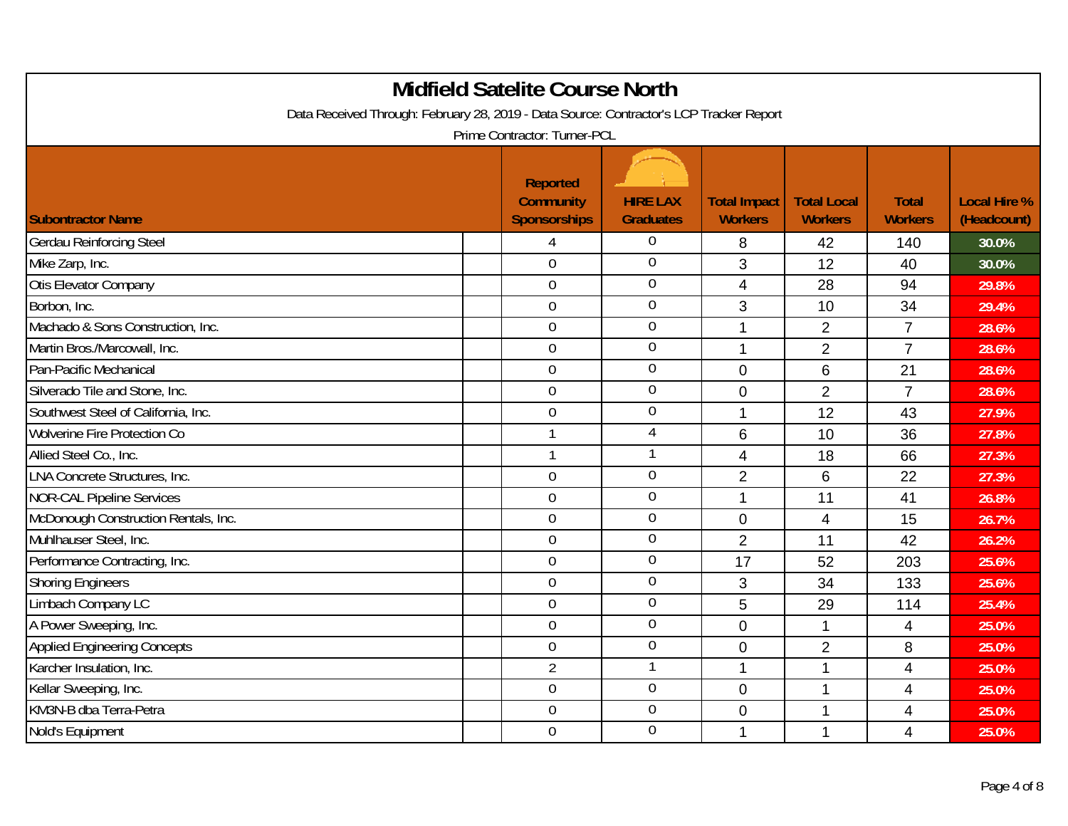| <b>Midfield Satelite Course North</b><br>Data Received Through: February 28, 2019 - Data Source: Contractor's LCP Tracker Report<br>Prime Contractor: Turner-PCL |                                                            |                                     |                                       |                                      |                                |                                    |  |  |  |
|------------------------------------------------------------------------------------------------------------------------------------------------------------------|------------------------------------------------------------|-------------------------------------|---------------------------------------|--------------------------------------|--------------------------------|------------------------------------|--|--|--|
| <b>Subontractor Name</b>                                                                                                                                         | <b>Reported</b><br><b>Community</b><br><b>Sponsorships</b> | <b>HIRE LAX</b><br><b>Graduates</b> | <b>Total Impact</b><br><b>Workers</b> | <b>Total Local</b><br><b>Workers</b> | <b>Total</b><br><b>Workers</b> | <b>Local Hire %</b><br>(Headcount) |  |  |  |
| <b>Gerdau Reinforcing Steel</b>                                                                                                                                  | 4                                                          | 0                                   | 8                                     | 42                                   | 140                            | 30.0%                              |  |  |  |
| Mike Zarp, Inc.                                                                                                                                                  | $\overline{0}$                                             | 0                                   | 3                                     | 12                                   | 40                             | 30.0%                              |  |  |  |
| Otis Elevator Company                                                                                                                                            | $\boldsymbol{0}$                                           | 0                                   | $\overline{4}$                        | 28                                   | 94                             | 29.8%                              |  |  |  |
| Borbon, Inc.                                                                                                                                                     | $\overline{0}$                                             | $\overline{0}$                      | 3                                     | 10                                   | 34                             | 29.4%                              |  |  |  |
| Machado & Sons Construction, Inc.                                                                                                                                | $\mathbf 0$                                                | $\overline{0}$                      | 1                                     | $\overline{2}$                       | $\overline{7}$                 | 28.6%                              |  |  |  |
| Martin Bros./Marcowall, Inc.                                                                                                                                     | $\mathbf 0$                                                | 0                                   | $\overline{1}$                        | $\overline{2}$                       | $\overline{7}$                 | 28.6%                              |  |  |  |
| Pan-Pacific Mechanical                                                                                                                                           | $\mathbf 0$                                                | 0                                   | $\overline{0}$                        | 6                                    | 21                             | 28.6%                              |  |  |  |
| Silverado Tile and Stone, Inc.                                                                                                                                   | $\mathbf 0$                                                | 0                                   | $\Omega$                              | $\overline{2}$                       | $\overline{7}$                 | 28.6%                              |  |  |  |
| Southwest Steel of California, Inc.                                                                                                                              | $\mathbf 0$                                                | 0                                   | $\mathbf{1}$                          | 12                                   | 43                             | 27.9%                              |  |  |  |
| <b>Wolverine Fire Protection Co</b>                                                                                                                              | $\mathbf{1}$                                               | $\overline{4}$                      | 6                                     | 10                                   | 36                             | 27.8%                              |  |  |  |
| Allied Steel Co., Inc.                                                                                                                                           | $\mathbf{1}$                                               | 1                                   | 4                                     | 18                                   | 66                             | 27.3%                              |  |  |  |
| <b>LNA Concrete Structures, Inc.</b>                                                                                                                             | $\mathbf 0$                                                | $\overline{0}$                      | $\overline{2}$                        | 6                                    | 22                             | 27.3%                              |  |  |  |
| <b>NOR-CAL Pipeline Services</b>                                                                                                                                 | $\mathbf 0$                                                | 0                                   | 1                                     | 11                                   | 41                             | 26.8%                              |  |  |  |
| McDonough Construction Rentals, Inc.                                                                                                                             | $\mathbf 0$                                                | 0                                   | $\overline{0}$                        | 4                                    | 15                             | 26.7%                              |  |  |  |
| Muhlhauser Steel, Inc.                                                                                                                                           | $\mathbf 0$                                                | $\overline{0}$                      | $\overline{2}$                        | 11                                   | 42                             | 26.2%                              |  |  |  |
| Performance Contracting, Inc.                                                                                                                                    | $\mathbf 0$                                                | $\overline{0}$                      | 17                                    | 52                                   | 203                            | 25.6%                              |  |  |  |
| <b>Shoring Engineers</b>                                                                                                                                         | $\overline{0}$                                             | $\overline{0}$                      | 3                                     | 34                                   | 133                            | 25.6%                              |  |  |  |
| Limbach Company LC                                                                                                                                               | $\mathbf 0$                                                | 0                                   | 5                                     | 29                                   | 114                            | 25.4%                              |  |  |  |
| A Power Sweeping, Inc.                                                                                                                                           | $\mathbf 0$                                                | 0                                   | $\overline{0}$                        | 1                                    | $\overline{4}$                 | 25.0%                              |  |  |  |
| <b>Applied Engineering Concepts</b>                                                                                                                              | $\overline{0}$                                             | 0                                   | $\overline{0}$                        | $\overline{2}$                       | 8                              | 25.0%                              |  |  |  |
| Karcher Insulation, Inc.                                                                                                                                         | $\overline{2}$                                             | $\mathbf{1}$                        | $\mathbf{1}$                          | 1                                    | $\overline{4}$                 | 25.0%                              |  |  |  |
| Kellar Sweeping, Inc.                                                                                                                                            | $\mathbf 0$                                                | $\overline{0}$                      | $\mathbf 0$                           | 1                                    | $\overline{4}$                 | 25.0%                              |  |  |  |
| KM3N-B dba Terra-Petra                                                                                                                                           | $\overline{0}$                                             | 0                                   | $\overline{0}$                        | 1                                    | $\overline{4}$                 | 25.0%                              |  |  |  |
| Nold's Equipment                                                                                                                                                 | $\mathbf 0$                                                | 0                                   | 1                                     | 1                                    | $\overline{4}$                 | 25.0%                              |  |  |  |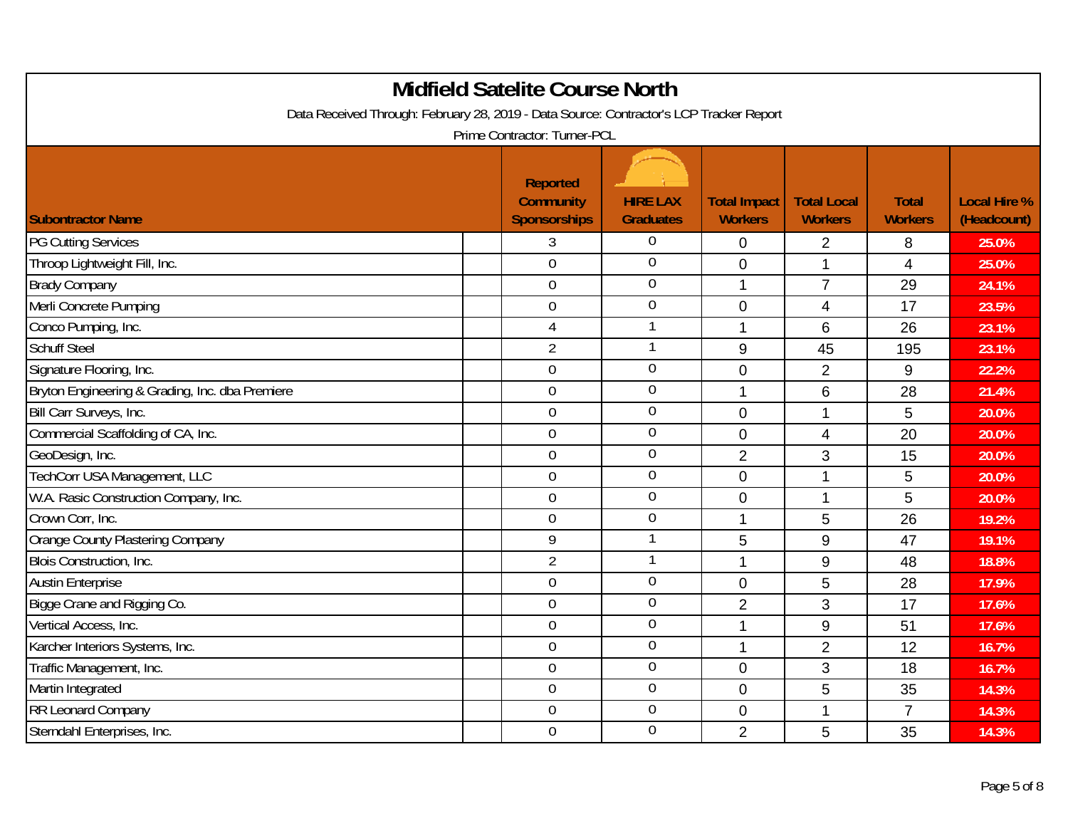| <b>Midfield Satelite Course North</b><br>Data Received Through: February 28, 2019 - Data Source: Contractor's LCP Tracker Report<br>Prime Contractor: Turner-PCL |                                                            |                                     |                                       |                                      |                                |                                    |  |  |
|------------------------------------------------------------------------------------------------------------------------------------------------------------------|------------------------------------------------------------|-------------------------------------|---------------------------------------|--------------------------------------|--------------------------------|------------------------------------|--|--|
| <b>Subontractor Name</b>                                                                                                                                         | <b>Reported</b><br><b>Community</b><br><b>Sponsorships</b> | <b>HIRE LAX</b><br><b>Graduates</b> | <b>Total Impact</b><br><b>Workers</b> | <b>Total Local</b><br><b>Workers</b> | <b>Total</b><br><b>Workers</b> | <b>Local Hire %</b><br>(Headcount) |  |  |
| <b>PG Cutting Services</b>                                                                                                                                       | 3                                                          | 0                                   | $\mathbf 0$                           | $\overline{2}$                       | 8                              | 25.0%                              |  |  |
| Throop Lightweight Fill, Inc.                                                                                                                                    | $\overline{0}$                                             | 0                                   | $\overline{0}$                        | 1                                    | $\overline{4}$                 | 25.0%                              |  |  |
| <b>Brady Company</b>                                                                                                                                             | $\mathbf 0$                                                | 0                                   | $\overline{1}$                        | $\overline{7}$                       | 29                             | 24.1%                              |  |  |
| Merli Concrete Pumping                                                                                                                                           | $\mathbf 0$                                                | 0                                   | $\mathbf 0$                           | 4                                    | 17                             | 23.5%                              |  |  |
| Conco Pumping, Inc.                                                                                                                                              | $\overline{4}$                                             | 1                                   | 1                                     | 6                                    | 26                             | 23.1%                              |  |  |
| <b>Schuff Steel</b>                                                                                                                                              | $\overline{2}$                                             | 1                                   | $9\,$                                 | 45                                   | 195                            | 23.1%                              |  |  |
| Signature Flooring, Inc.                                                                                                                                         | $\mathbf 0$                                                | 0                                   | $\mathbf 0$                           | $\overline{2}$                       | 9                              | 22.2%                              |  |  |
| Bryton Engineering & Grading, Inc. dba Premiere                                                                                                                  | $\mathbf 0$                                                | $\overline{0}$                      | 1                                     | 6                                    | 28                             | 21.4%                              |  |  |
| Bill Carr Surveys, Inc.                                                                                                                                          | $\mathbf 0$                                                | 0                                   | $\mathbf 0$                           | 1                                    | 5                              | 20.0%                              |  |  |
| Commercial Scaffolding of CA, Inc.                                                                                                                               | $\boldsymbol{0}$                                           | $\mathbf 0$                         | $\mathbf 0$                           | $\overline{4}$                       | 20                             | 20.0%                              |  |  |
| GeoDesign, Inc.                                                                                                                                                  | $\overline{0}$                                             | 0                                   | $\overline{2}$                        | 3                                    | 15                             | 20.0%                              |  |  |
| TechCorr USA Management, LLC                                                                                                                                     | $\mathbf 0$                                                | $\mathbf 0$                         | $\mathbf 0$                           | 1                                    | 5                              | 20.0%                              |  |  |
| W.A. Rasic Construction Company, Inc.                                                                                                                            | $\mathbf 0$                                                | 0                                   | $\overline{0}$                        | 1                                    | 5                              | 20.0%                              |  |  |
| Crown Corr, Inc.                                                                                                                                                 | $\overline{0}$                                             | $\overline{0}$                      | 1                                     | 5                                    | 26                             | 19.2%                              |  |  |
| Orange County Plastering Company                                                                                                                                 | 9                                                          | 1                                   | 5                                     | 9                                    | 47                             | 19.1%                              |  |  |
| Blois Construction, Inc.                                                                                                                                         | $\overline{2}$                                             | 1                                   | $\mathbf{1}$                          | 9                                    | 48                             | 18.8%                              |  |  |
| <b>Austin Enterprise</b>                                                                                                                                         | $\overline{0}$                                             | $\overline{0}$                      | $\Omega$                              | 5                                    | 28                             | 17.9%                              |  |  |
| Bigge Crane and Rigging Co.                                                                                                                                      | $\boldsymbol{0}$                                           | 0                                   | $\overline{2}$                        | 3                                    | 17                             | 17.6%                              |  |  |
| Vertical Access, Inc.                                                                                                                                            | $\mathbf 0$                                                | 0                                   | 1                                     | 9                                    | 51                             | 17.6%                              |  |  |
| Karcher Interiors Systems, Inc.                                                                                                                                  | $\mathbf 0$                                                | 0                                   | 1                                     | $\overline{2}$                       | 12                             | 16.7%                              |  |  |
| Traffic Management, Inc.                                                                                                                                         | $\mathbf 0$                                                | 0                                   | $\mathbf 0$                           | 3                                    | 18                             | 16.7%                              |  |  |
| Martin Integrated                                                                                                                                                | $\mathbf 0$                                                | 0                                   | $\overline{0}$                        | 5                                    | 35                             | 14.3%                              |  |  |
| <b>RR Leonard Company</b>                                                                                                                                        | $\mathbf 0$                                                | $\mathbf 0$                         | $\overline{0}$                        | 1                                    | $\overline{7}$                 | 14.3%                              |  |  |
| Sterndahl Enterprises, Inc.                                                                                                                                      | $\mathbf 0$                                                | 0                                   | $\overline{2}$                        | 5                                    | 35                             | 14.3%                              |  |  |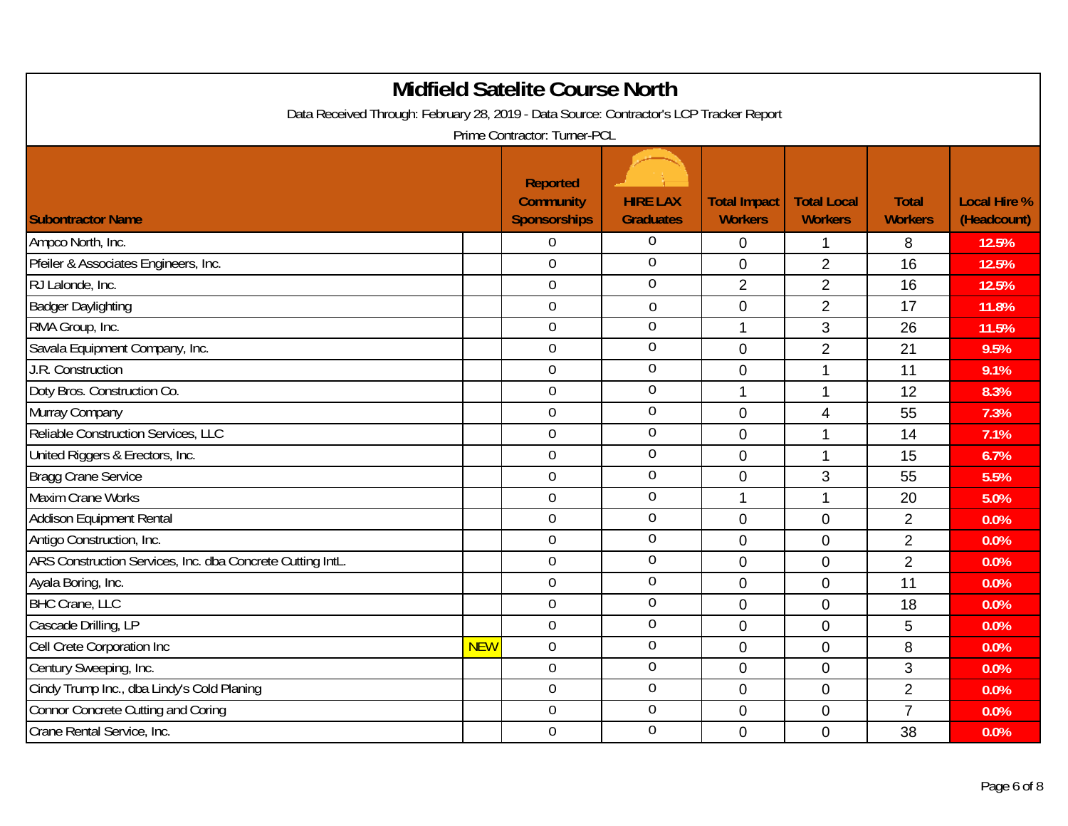| <b>Midfield Satelite Course North</b><br>Data Received Through: February 28, 2019 - Data Source: Contractor's LCP Tracker Report<br>Prime Contractor: Turner-PCL |            |                                                            |                                     |                                       |                                      |                                |                                    |  |
|------------------------------------------------------------------------------------------------------------------------------------------------------------------|------------|------------------------------------------------------------|-------------------------------------|---------------------------------------|--------------------------------------|--------------------------------|------------------------------------|--|
| <b>Subontractor Name</b>                                                                                                                                         |            | <b>Reported</b><br><b>Community</b><br><b>Sponsorships</b> | <b>HIRE LAX</b><br><b>Graduates</b> | <b>Total Impact</b><br><b>Workers</b> | <b>Total Local</b><br><b>Workers</b> | <b>Total</b><br><b>Workers</b> | <b>Local Hire %</b><br>(Headcount) |  |
| Ampco North, Inc.                                                                                                                                                |            | $\boldsymbol{0}$                                           | 0                                   | $\mathbf 0$                           | 1                                    | 8                              | 12.5%                              |  |
| Pfeiler & Associates Engineers, Inc.                                                                                                                             |            | $\overline{0}$                                             | 0                                   | $\overline{0}$                        | $\overline{2}$                       | 16                             | 12.5%                              |  |
| RJ Lalonde, Inc.                                                                                                                                                 |            | $\mathbf 0$                                                | 0                                   | $\overline{2}$                        | $\overline{2}$                       | 16                             | 12.5%                              |  |
| <b>Badger Daylighting</b>                                                                                                                                        |            | $\mathbf 0$                                                | $\boldsymbol{0}$                    | $\mathbf 0$                           | $\overline{2}$                       | 17                             | 11.8%                              |  |
| RMA Group, Inc.                                                                                                                                                  |            | $\mathbf 0$                                                | $\overline{0}$                      | 1                                     | 3                                    | 26                             | 11.5%                              |  |
| Savala Equipment Company, Inc.                                                                                                                                   |            | $\boldsymbol{0}$                                           | 0                                   | $\mathbf 0$                           | $\overline{2}$                       | 21                             | 9.5%                               |  |
| J.R. Construction                                                                                                                                                |            | $\mathbf 0$                                                | 0                                   | $\mathbf 0$                           | 1                                    | 11                             | 9.1%                               |  |
| Doty Bros. Construction Co.                                                                                                                                      |            | $\mathbf 0$                                                | 0                                   | 1                                     | 1                                    | 12                             | 8.3%                               |  |
| Murray Company                                                                                                                                                   |            | $\mathbf 0$                                                | 0                                   | $\mathbf 0$                           | 4                                    | 55                             | 7.3%                               |  |
| Reliable Construction Services, LLC                                                                                                                              |            | $\boldsymbol{0}$                                           | $\mathbf 0$                         | $\mathbf 0$                           | 1                                    | 14                             | 7.1%                               |  |
| United Riggers & Erectors, Inc.                                                                                                                                  |            | $\overline{0}$                                             | 0                                   | $\overline{0}$                        | 1                                    | 15                             | 6.7%                               |  |
| <b>Bragg Crane Service</b>                                                                                                                                       |            | $\mathbf 0$                                                | $\mathbf 0$                         | $\mathbf{0}$                          | 3                                    | 55                             | 5.5%                               |  |
| <b>Maxim Crane Works</b>                                                                                                                                         |            | $\mathbf 0$                                                | 0                                   | 1                                     | 1                                    | 20                             | 5.0%                               |  |
| <b>Addison Equipment Rental</b>                                                                                                                                  |            | $\overline{0}$                                             | 0                                   | $\mathbf 0$                           | $\overline{0}$                       | $\overline{2}$                 | 0.0%                               |  |
| Antigo Construction, Inc.                                                                                                                                        |            | $\boldsymbol{0}$                                           | $\boldsymbol{0}$                    | $\mathbf 0$                           | $\mathbf 0$                          | $\overline{2}$                 | 0.0%                               |  |
| ARS Construction Services, Inc. dba Concrete Cutting IntL.                                                                                                       |            | $\boldsymbol{0}$                                           | 0                                   | $\overline{0}$                        | $\mathbf 0$                          | $\overline{2}$                 | 0.0%                               |  |
| Ayala Boring, Inc.                                                                                                                                               |            | $\overline{0}$                                             | $\overline{0}$                      | $\Omega$                              | $\Omega$                             | 11                             | 0.0%                               |  |
| <b>BHC Crane, LLC</b>                                                                                                                                            |            | $\boldsymbol{0}$                                           | 0                                   | $\mathbf 0$                           | $\overline{0}$                       | 18                             | 0.0%                               |  |
| Cascade Drilling, LP                                                                                                                                             |            | $\mathbf 0$                                                | 0                                   | $\overline{0}$                        | $\mathbf 0$                          | 5                              | 0.0%                               |  |
| Cell Crete Corporation Inc                                                                                                                                       | <b>NEW</b> | $\mathbf 0$                                                | 0                                   | $\Omega$                              | $\overline{0}$                       | 8                              | 0.0%                               |  |
| Century Sweeping, Inc.                                                                                                                                           |            | $\mathbf 0$                                                | 0                                   | $\mathbf 0$                           | $\mathbf 0$                          | 3                              | 0.0%                               |  |
| Cindy Trump Inc., dba Lindy's Cold Planing                                                                                                                       |            | $\boldsymbol{0}$                                           | 0                                   | $\overline{0}$                        | $\overline{0}$                       | $\overline{2}$                 | 0.0%                               |  |
| <b>Connor Concrete Cutting and Coring</b>                                                                                                                        |            | $\mathbf 0$                                                | $\mathbf 0$                         | $\overline{0}$                        | $\overline{0}$                       | $\overline{7}$                 | 0.0%                               |  |
| Crane Rental Service, Inc.                                                                                                                                       |            | $\mathbf 0$                                                | $\overline{0}$                      | $\Omega$                              | $\Omega$                             | 38                             | 0.0%                               |  |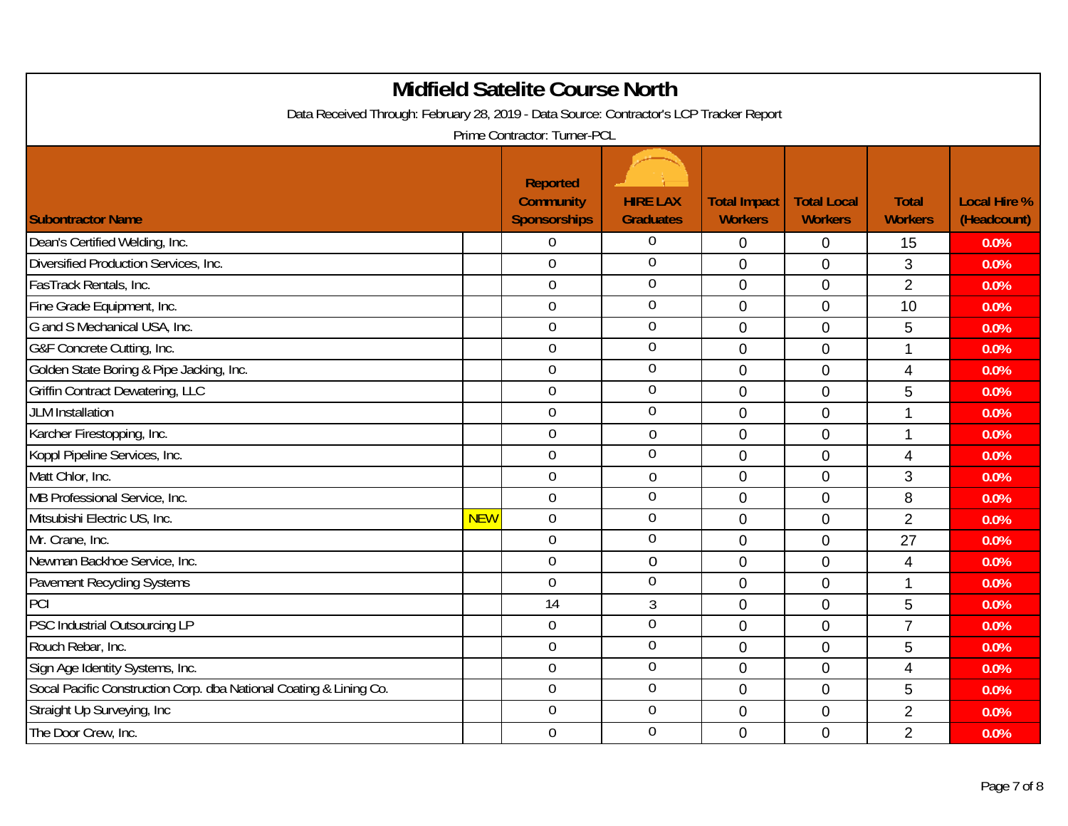| <b>Midfield Satelite Course North</b><br>Data Received Through: February 28, 2019 - Data Source: Contractor's LCP Tracker Report<br>Prime Contractor: Turner-PCL |            |                                                            |                                     |                                       |                                      |                                |                                    |  |
|------------------------------------------------------------------------------------------------------------------------------------------------------------------|------------|------------------------------------------------------------|-------------------------------------|---------------------------------------|--------------------------------------|--------------------------------|------------------------------------|--|
| <b>Subontractor Name</b>                                                                                                                                         |            | <b>Reported</b><br><b>Community</b><br><b>Sponsorships</b> | <b>HIRE LAX</b><br><b>Graduates</b> | <b>Total Impact</b><br><b>Workers</b> | <b>Total Local</b><br><b>Workers</b> | <b>Total</b><br><b>Workers</b> | <b>Local Hire %</b><br>(Headcount) |  |
| Dean's Certified Welding, Inc.                                                                                                                                   |            | $\Omega$                                                   | 0                                   | 0                                     | 0                                    | 15                             | 0.0%                               |  |
| Diversified Production Services, Inc.                                                                                                                            |            | $\overline{0}$                                             | 0                                   | $\overline{0}$                        | $\overline{0}$                       | 3                              | 0.0%                               |  |
| FasTrack Rentals, Inc.                                                                                                                                           |            | $\mathbf 0$                                                | 0                                   | $\overline{0}$                        | $\overline{0}$                       | $\overline{2}$                 | 0.0%                               |  |
| Fine Grade Equipment, Inc.                                                                                                                                       |            | $\boldsymbol{0}$                                           | 0                                   | $\mathbf 0$                           | $\mathbf 0$                          | 10                             | 0.0%                               |  |
| G and S Mechanical USA, Inc.                                                                                                                                     |            | $\mathbf 0$                                                | $\overline{0}$                      | $\overline{0}$                        | $\overline{0}$                       | 5                              | 0.0%                               |  |
| G&F Concrete Cutting, Inc.                                                                                                                                       |            | $\mathbf 0$                                                | $\mathbf 0$                         | $\Omega$                              | $\Omega$                             | 1                              | 0.0%                               |  |
| Golden State Boring & Pipe Jacking, Inc.                                                                                                                         |            | $\mathbf 0$                                                | 0                                   | $\overline{0}$                        | $\overline{0}$                       | $\overline{4}$                 | 0.0%                               |  |
| <b>Griffin Contract Dewatering, LLC</b>                                                                                                                          |            | $\overline{0}$                                             | 0                                   | $\overline{0}$                        | $\overline{0}$                       | 5                              | 0.0%                               |  |
| <b>JLM</b> Installation                                                                                                                                          |            | $\mathbf 0$                                                | 0                                   | $\mathbf{0}$                          | $\overline{0}$                       | 1                              | 0.0%                               |  |
| Karcher Firestopping, Inc.                                                                                                                                       |            | $\mathbf 0$                                                | $\mathbf 0$                         | $\overline{0}$                        | $\mathbf 0$                          | 1                              | 0.0%                               |  |
| Koppl Pipeline Services, Inc.                                                                                                                                    |            | $\boldsymbol{0}$                                           | $\overline{0}$                      | $\overline{0}$                        | $\mathbf 0$                          | $\overline{4}$                 | 0.0%                               |  |
| Matt Chlor, Inc.                                                                                                                                                 |            | $\mathbf{0}$                                               | $\mathbf 0$                         | $\Omega$                              | $\Omega$                             | 3                              | 0.0%                               |  |
| MB Professional Service, Inc.                                                                                                                                    |            | $\mathbf 0$                                                | $\boldsymbol{0}$                    | $\overline{0}$                        | $\overline{0}$                       | 8                              | 0.0%                               |  |
| Mitsubishi Electric US, Inc.                                                                                                                                     | <b>NEW</b> | $\mathbf 0$                                                | 0                                   | $\overline{0}$                        | $\mathbf 0$                          | $\overline{2}$                 | 0.0%                               |  |
| Mr. Crane, Inc.                                                                                                                                                  |            | $\mathbf 0$                                                | 0                                   | $\overline{0}$                        | $\mathbf 0$                          | 27                             | 0.0%                               |  |
| Newman Backhoe Service, Inc.                                                                                                                                     |            | $\mathbf 0$                                                | $\overline{0}$                      | $\mathbf 0$                           | $\overline{0}$                       | $\overline{4}$                 | 0.0%                               |  |
| Pavement Recycling Systems                                                                                                                                       |            | $\mathbf 0$                                                | 0                                   | $\overline{0}$                        | $\overline{0}$                       | 1                              | 0.0%                               |  |
| PCI                                                                                                                                                              |            | 14                                                         | 3                                   | $\overline{0}$                        | $\overline{0}$                       | 5                              | 0.0%                               |  |
| PSC Industrial Outsourcing LP                                                                                                                                    |            | $\mathbf 0$                                                | $\overline{0}$                      | $\Omega$                              | $\overline{0}$                       | $\overline{7}$                 | 0.0%                               |  |
| Rouch Rebar, Inc.                                                                                                                                                |            | $\mathbf 0$                                                | 0                                   | $\overline{0}$                        | $\overline{0}$                       | 5                              | 0.0%                               |  |
| Sign Age Identity Systems, Inc.                                                                                                                                  |            | $\boldsymbol{0}$                                           | 0                                   | $\overline{0}$                        | $\mathbf 0$                          | $\overline{4}$                 | 0.0%                               |  |
| Socal Pacific Construction Corp. dba National Coating & Lining Co.                                                                                               |            | $\mathbf 0$                                                | 0                                   | $\mathbf 0$                           | $\mathbf 0$                          | 5                              | 0.0%                               |  |
| Straight Up Surveying, Inc                                                                                                                                       |            | $\mathbf 0$                                                | $\mathbf 0$                         | $\Omega$                              | $\overline{0}$                       | $\overline{2}$                 | 0.0%                               |  |
| The Door Crew, Inc.                                                                                                                                              |            | $\mathbf 0$                                                | $\mathbf 0$                         | $\overline{0}$                        | $\overline{0}$                       | $\overline{2}$                 | 0.0%                               |  |